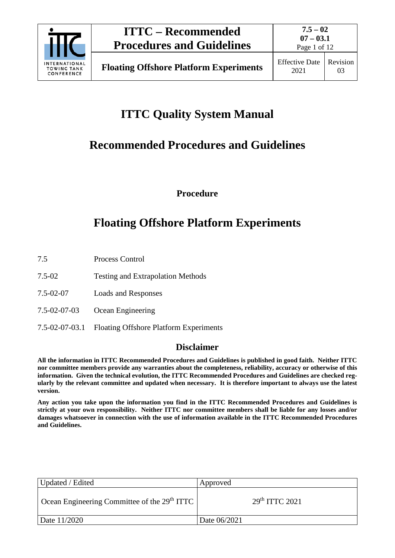

# **ITTC Quality System Manual**

# **Recommended Procedures and Guidelines**

**Procedure**

# **Floating Offshore Platform Experiments**

7.5 Process Control

- 7.5-02 Testing and Extrapolation Methods
- 7.5-02-07 Loads and Responses
- 7.5-02-07-03 Ocean Engineering
- 7.5-02-07-03.1 Floating Offshore Platform Experiments

## **Disclaimer**

**All the information in ITTC Recommended Procedures and Guidelines is published in good faith. Neither ITTC nor committee members provide any warranties about the completeness, reliability, accuracy or otherwise of this information. Given the technical evolution, the ITTC Recommended Procedures and Guidelines are checked regularly by the relevant committee and updated when necessary. It is therefore important to always use the latest version.**

**Any action you take upon the information you find in the ITTC Recommended Procedures and Guidelines is strictly at your own responsibility. Neither ITTC nor committee members shall be liable for any losses and/or damages whatsoever in connection with the use of information available in the ITTC Recommended Procedures and Guidelines.**

| Updated / Edited                                         | Approved                  |  |
|----------------------------------------------------------|---------------------------|--|
| Ocean Engineering Committee of the 29 <sup>th</sup> ITTC | 29 <sup>th</sup> TTC 2021 |  |
| Date 11/2020                                             | Date 06/2021              |  |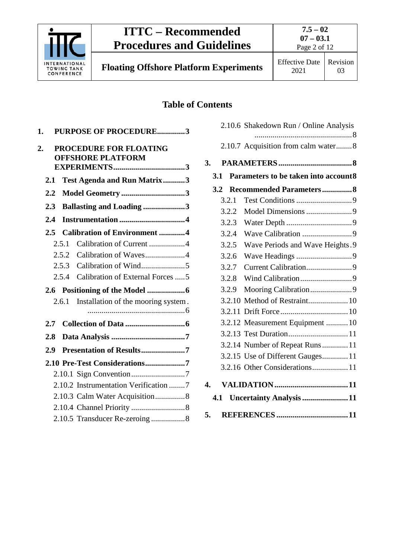

**7.5 – 02 07 – 03.1** Page 2 of 12

**Floating Offshore Platform Experiments** Effective Date

## **Table of Contents**

| 1.                                                       | PURPOSE OF PROCEDURE3                        |  |  |
|----------------------------------------------------------|----------------------------------------------|--|--|
| PROCEDURE FOR FLOATING<br>2.<br><b>OFFSHORE PLATFORM</b> |                                              |  |  |
|                                                          |                                              |  |  |
| 2.1                                                      | Test Agenda and Run Matrix3                  |  |  |
| $2.2\,$                                                  | Model Geometry 3                             |  |  |
| 2.3                                                      | <b>Ballasting and Loading 3</b>              |  |  |
| 2.4                                                      |                                              |  |  |
| 2.5                                                      | <b>Calibration of Environment 4</b>          |  |  |
|                                                          | Calibration of Current 4<br>2.5.1            |  |  |
|                                                          | Calibration of Waves4<br>2.5.2               |  |  |
|                                                          | 2.5.3                                        |  |  |
|                                                          | 2.5.4<br>Calibration of External Forces  5   |  |  |
|                                                          |                                              |  |  |
|                                                          | Installation of the mooring system.<br>2.6.1 |  |  |
|                                                          |                                              |  |  |
| 2.7                                                      |                                              |  |  |
| 2.8                                                      |                                              |  |  |
| 2.9                                                      | Presentation of Results7                     |  |  |
| 2.10 Pre-Test Considerations7                            |                                              |  |  |
|                                                          |                                              |  |  |
| 2.10.2 Instrumentation Verification 7                    |                                              |  |  |
| 2.10.3 Calm Water Acquisition8                           |                                              |  |  |
|                                                          |                                              |  |  |
|                                                          |                                              |  |  |
|                                                          |                                              |  |  |

|                                |       | 2.10.6 Shakedown Run / Online Analysis |
|--------------------------------|-------|----------------------------------------|
|                                |       | 2.10.7 Acquisition from calm water8    |
| 3.                             |       |                                        |
|                                | 3.1   | Parameters to be taken into account8   |
|                                | 3.2   | <b>Recommended Parameters 8</b>        |
|                                | 3.2.1 |                                        |
|                                | 3.2.2 |                                        |
|                                | 3.2.3 |                                        |
|                                | 3.2.4 |                                        |
|                                | 3.2.5 | Wave Periods and Wave Heights.9        |
|                                | 3.2.6 |                                        |
|                                | 3.2.7 |                                        |
|                                | 3.2.8 |                                        |
|                                | 3.2.9 |                                        |
|                                |       |                                        |
|                                |       |                                        |
|                                |       | 3.2.12 Measurement Equipment  10       |
|                                |       |                                        |
|                                |       | 3.2.14 Number of Repeat Runs 11        |
|                                |       | 3.2.15 Use of Different Gauges 11      |
|                                |       | 3.2.16 Other Considerations 11         |
| $\overline{4}$ .               |       |                                        |
| Uncertainty Analysis 11<br>4.1 |       |                                        |
| 5.                             |       |                                        |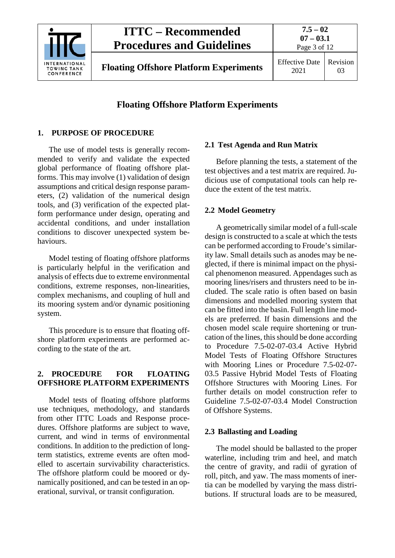

**Floating Offshore Platform Experiments** Effective Date

2021

## **Floating Offshore Platform Experiments**

## <span id="page-2-0"></span>**1. PURPOSE OF PROCEDURE**

The use of model tests is generally recommended to verify and validate the expected global performance of floating offshore platforms. This may involve (1) validation of design assumptions and critical design response parameters, (2) validation of the numerical design tools, and (3) verification of the expected platform performance under design, operating and accidental conditions, and under installation conditions to discover unexpected system behaviours.

Model testing of floating offshore platforms is particularly helpful in the verification and analysis of effects due to extreme environmental conditions, extreme responses, non-linearities, complex mechanisms, and coupling of hull and its mooring system and/or dynamic positioning system.

This procedure is to ensure that floating offshore platform experiments are performed according to the state of the art.

## <span id="page-2-1"></span>**2. PROCEDURE FOR FLOATING OFFSHORE PLATFORM EXPERIMENTS**

Model tests of floating offshore platforms use techniques, methodology, and standards from other ITTC Loads and Response procedures. Offshore platforms are subject to wave, current, and wind in terms of environmental conditions. In addition to the prediction of longterm statistics, extreme events are often modelled to ascertain survivability characteristics. The offshore platform could be moored or dynamically positioned, and can be tested in an operational, survival, or transit configuration.

## <span id="page-2-2"></span>**2.1 Test Agenda and Run Matrix**

Before planning the tests, a statement of the test objectives and a test matrix are required. Judicious use of computational tools can help reduce the extent of the test matrix.

#### <span id="page-2-3"></span>**2.2 Model Geometry**

A geometrically similar model of a full-scale design is constructed to a scale at which the tests can be performed according to Froude's similarity law. Small details such as anodes may be neglected, if there is minimal impact on the physical phenomenon measured. Appendages such as mooring lines/risers and thrusters need to be included. The scale ratio is often based on basin dimensions and modelled mooring system that can be fitted into the basin. Full length line models are preferred. If basin dimensions and the chosen model scale require shortening or truncation of the lines, this should be done according to Procedure 7.5-02-07-03.4 Active Hybrid Model Tests of Floating Offshore Structures with Mooring Lines or Procedure 7.5-02-07- 03.5 Passive Hybrid Model Tests of Floating Offshore Structures with Mooring Lines. For further details on model construction refer to Guideline 7.5-02-07-03.4 Model Construction of Offshore Systems.

## <span id="page-2-4"></span>**2.3 Ballasting and Loading**

The model should be ballasted to the proper waterline, including trim and heel, and match the centre of gravity, and radii of gyration of roll, pitch, and yaw. The mass moments of inertia can be modelled by varying the mass distributions. If structural loads are to be measured,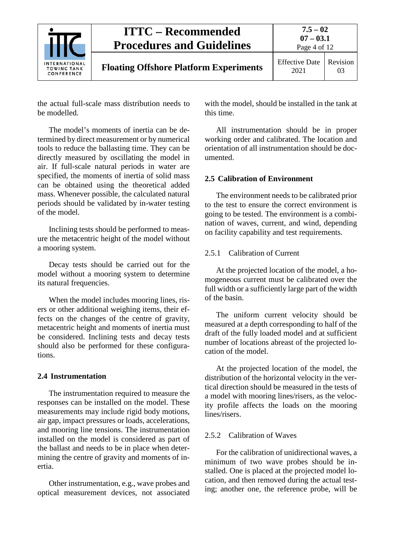

the actual full-scale mass distribution needs to be modelled.

The model's moments of inertia can be determined by direct measurement or by numerical tools to reduce the ballasting time. They can be directly measured by oscillating the model in air. If full-scale natural periods in water are specified, the moments of inertia of solid mass can be obtained using the theoretical added mass. Whenever possible, the calculated natural periods should be validated by in-water testing of the model.

Inclining tests should be performed to measure the metacentric height of the model without a mooring system.

Decay tests should be carried out for the model without a mooring system to determine its natural frequencies.

When the model includes mooring lines, risers or other additional weighing items, their effects on the changes of the centre of gravity, metacentric height and moments of inertia must be considered. Inclining tests and decay tests should also be performed for these configurations.

#### <span id="page-3-0"></span>**2.4 Instrumentation**

The instrumentation required to measure the responses can be installed on the model. These measurements may include rigid body motions, air gap, impact pressures or loads, accelerations, and mooring line tensions. The instrumentation installed on the model is considered as part of the ballast and needs to be in place when determining the centre of gravity and moments of inertia.

Other instrumentation, e.g., wave probes and optical measurement devices, not associated with the model, should be installed in the tank at this time.

All instrumentation should be in proper working order and calibrated. The location and orientation of all instrumentation should be documented.

#### <span id="page-3-1"></span>**2.5 Calibration of Environment**

The environment needs to be calibrated prior to the test to ensure the correct environment is going to be tested. The environment is a combination of waves, current, and wind, depending on facility capability and test requirements.

#### <span id="page-3-2"></span>2.5.1 Calibration of Current

At the projected location of the model, a homogeneous current must be calibrated over the full width or a sufficiently large part of the width of the basin.

The uniform current velocity should be measured at a depth corresponding to half of the draft of the fully loaded model and at sufficient number of locations abreast of the projected location of the model.

At the projected location of the model, the distribution of the horizontal velocity in the vertical direction should be measured in the tests of a model with mooring lines/risers, as the velocity profile affects the loads on the mooring lines/risers.

#### <span id="page-3-3"></span>2.5.2 Calibration of Waves

For the calibration of unidirectional waves, a minimum of two wave probes should be installed. One is placed at the projected model location, and then removed during the actual testing; another one, the reference probe, will be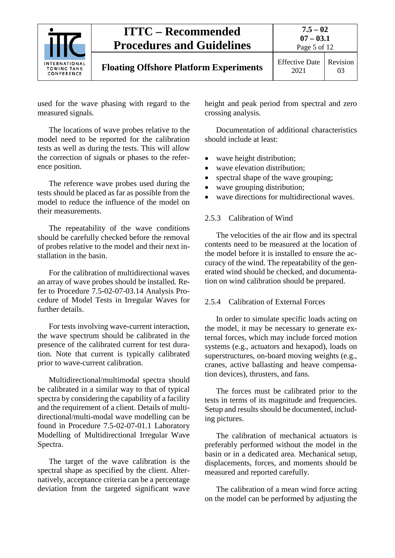

used for the wave phasing with regard to the measured signals.

The locations of wave probes relative to the model need to be reported for the calibration tests as well as during the tests. This will allow the correction of signals or phases to the reference position.

The reference wave probes used during the tests should be placed as far as possible from the model to reduce the influence of the model on their measurements.

The repeatability of the wave conditions should be carefully checked before the removal of probes relative to the model and their next installation in the basin.

For the calibration of multidirectional waves an array of wave probes should be installed. Refer to Procedure 7.5-02-07-03.14 Analysis Procedure of Model Tests in Irregular Waves for further details.

For tests involving wave-current interaction, the wave spectrum should be calibrated in the presence of the calibrated current for test duration. Note that current is typically calibrated prior to wave-current calibration.

Multidirectional/multimodal spectra should be calibrated in a similar way to that of typical spectra by considering the capability of a facility and the requirement of a client. Details of multidirectional/multi-modal wave modelling can be found in Procedure 7.5-02-07-01.1 Laboratory Modelling of Multidirectional Irregular Wave Spectra.

The target of the wave calibration is the spectral shape as specified by the client. Alternatively, acceptance criteria can be a percentage deviation from the targeted significant wave

height and peak period from spectral and zero crossing analysis.

Documentation of additional characteristics should include at least:

- wave height distribution;
- wave elevation distribution:
- spectral shape of the wave grouping;
- wave grouping distribution;
- wave directions for multidirectional waves.

## <span id="page-4-0"></span>2.5.3 Calibration of Wind

The velocities of the air flow and its spectral contents need to be measured at the location of the model before it is installed to ensure the accuracy of the wind. The repeatability of the generated wind should be checked, and documentation on wind calibration should be prepared.

## <span id="page-4-1"></span>2.5.4 Calibration of External Forces

In order to simulate specific loads acting on the model, it may be necessary to generate external forces, which may include forced motion systems (e.g., actuators and hexapod), loads on superstructures, on-board moving weights (e.g., cranes, active ballasting and heave compensation devices), thrusters, and fans.

The forces must be calibrated prior to the tests in terms of its magnitude and frequencies. Setup and results should be documented, including pictures.

The calibration of mechanical actuators is preferably performed without the model in the basin or in a dedicated area. Mechanical setup, displacements, forces, and moments should be measured and reported carefully.

The calibration of a mean wind force acting on the model can be performed by adjusting the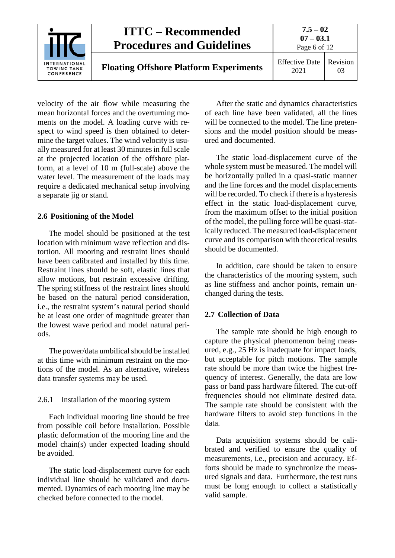

velocity of the air flow while measuring the mean horizontal forces and the overturning moments on the model. A loading curve with respect to wind speed is then obtained to determine the target values. The wind velocity is usually measured for at least 30 minutes in full scale at the projected location of the offshore platform, at a level of 10 m (full-scale) above the water level. The measurement of the loads may require a dedicated mechanical setup involving a separate jig or stand.

#### <span id="page-5-0"></span>**2.6 Positioning of the Model**

The model should be positioned at the test location with minimum wave reflection and distortion. All mooring and restraint lines should have been calibrated and installed by this time. Restraint lines should be soft, elastic lines that allow motions, but restrain excessive drifting. The spring stiffness of the restraint lines should be based on the natural period consideration, i.e., the restraint system's natural period should be at least one order of magnitude greater than the lowest wave period and model natural periods.

The power/data umbilical should be installed at this time with minimum restraint on the motions of the model. As an alternative, wireless data transfer systems may be used.

#### <span id="page-5-1"></span>2.6.1 Installation of the mooring system

Each individual mooring line should be free from possible coil before installation. Possible plastic deformation of the mooring line and the model chain(s) under expected loading should be avoided.

The static load-displacement curve for each individual line should be validated and documented. Dynamics of each mooring line may be checked before connected to the model.

After the static and dynamics characteristics of each line have been validated, all the lines will be connected to the model. The line pretensions and the model position should be measured and documented.

The static load-displacement curve of the whole system must be measured. The model will be horizontally pulled in a quasi-static manner and the line forces and the model displacements will be recorded. To check if there is a hysteresis effect in the static load-displacement curve, from the maximum offset to the initial position of the model, the pulling force will be quasi-statically reduced. The measured load-displacement curve and its comparison with theoretical results should be documented.

In addition, care should be taken to ensure the characteristics of the mooring system, such as line stiffness and anchor points, remain unchanged during the tests.

#### <span id="page-5-2"></span>**2.7 Collection of Data**

The sample rate should be high enough to capture the physical phenomenon being measured, e.g., 25 Hz is inadequate for impact loads, but acceptable for pitch motions. The sample rate should be more than twice the highest frequency of interest. Generally, the data are low pass or band pass hardware filtered. The cut-off frequencies should not eliminate desired data. The sample rate should be consistent with the hardware filters to avoid step functions in the data.

Data acquisition systems should be calibrated and verified to ensure the quality of measurements, i.e., precision and accuracy. Efforts should be made to synchronize the measured signals and data. Furthermore, the test runs must be long enough to collect a statistically valid sample.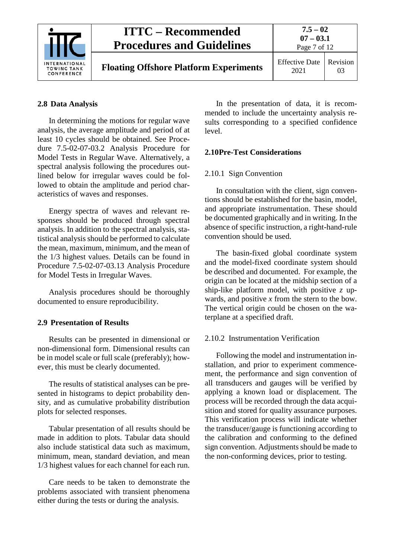

#### <span id="page-6-0"></span>**2.8 Data Analysis**

In determining the motions for regular wave analysis, the average amplitude and period of at least 10 cycles should be obtained. See Procedure 7.5-02-07-03.2 Analysis Procedure for Model Tests in Regular Wave. Alternatively, a spectral analysis following the procedures outlined below for irregular waves could be followed to obtain the amplitude and period characteristics of waves and responses.

Energy spectra of waves and relevant responses should be produced through spectral analysis. In addition to the spectral analysis, statistical analysis should be performed to calculate the mean, maximum, minimum, and the mean of the 1/3 highest values. Details can be found in Procedure 7.5-02-07-03.13 Analysis Procedure for Model Tests in Irregular Waves.

Analysis procedures should be thoroughly documented to ensure reproducibility.

#### <span id="page-6-1"></span>**2.9 Presentation of Results**

Results can be presented in dimensional or non-dimensional form. Dimensional results can be in model scale or full scale (preferably); however, this must be clearly documented.

The results of statistical analyses can be presented in histograms to depict probability density, and as cumulative probability distribution plots for selected responses.

Tabular presentation of all results should be made in addition to plots. Tabular data should also include statistical data such as maximum, minimum, mean, standard deviation, and mean 1/3 highest values for each channel for each run.

Care needs to be taken to demonstrate the problems associated with transient phenomena either during the tests or during the analysis.

In the presentation of data, it is recommended to include the uncertainty analysis results corresponding to a specified confidence level.

#### <span id="page-6-3"></span><span id="page-6-2"></span>**2.10Pre-Test Considerations**

#### 2.10.1 Sign Convention

In consultation with the client, sign conventions should be established for the basin, model, and appropriate instrumentation. These should be documented graphically and in writing. In the absence of specific instruction, a right-hand-rule convention should be used.

The basin-fixed global coordinate system and the model-fixed coordinate system should be described and documented. For example, the origin can be located at the midship section of a ship-like platform model, with positive *z* upwards, and positive *x* from the stern to the bow. The vertical origin could be chosen on the waterplane at a specified draft.

#### <span id="page-6-4"></span>2.10.2 Instrumentation Verification

Following the model and instrumentation installation, and prior to experiment commencement, the performance and sign convention of all transducers and gauges will be verified by applying a known load or displacement. The process will be recorded through the data acquisition and stored for quality assurance purposes. This verification process will indicate whether the transducer/gauge is functioning according to the calibration and conforming to the defined sign convention. Adjustments should be made to the non-conforming devices, prior to testing.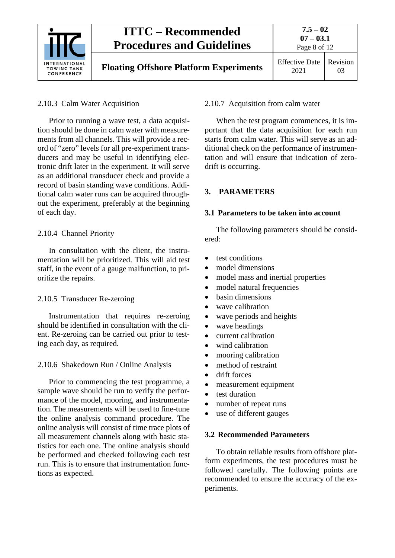

## <span id="page-7-0"></span>2.10.3 Calm Water Acquisition

Prior to running a wave test, a data acquisition should be done in calm water with measurements from all channels. This will provide a record of "zero" levels for all pre-experiment transducers and may be useful in identifying electronic drift later in the experiment. It will serve as an additional transducer check and provide a record of basin standing wave conditions. Additional calm water runs can be acquired throughout the experiment, preferably at the beginning of each day.

#### <span id="page-7-1"></span>2.10.4 Channel Priority

In consultation with the client, the instrumentation will be prioritized. This will aid test staff, in the event of a gauge malfunction, to prioritize the repairs.

#### <span id="page-7-2"></span>2.10.5 Transducer Re-zeroing

Instrumentation that requires re-zeroing should be identified in consultation with the client. Re-zeroing can be carried out prior to testing each day, as required.

#### <span id="page-7-3"></span>2.10.6 Shakedown Run / Online Analysis

Prior to commencing the test programme, a sample wave should be run to verify the performance of the model, mooring, and instrumentation. The measurements will be used to fine-tune the online analysis command procedure. The online analysis will consist of time trace plots of all measurement channels along with basic statistics for each one. The online analysis should be performed and checked following each test run. This is to ensure that instrumentation functions as expected.

#### <span id="page-7-4"></span>2.10.7 Acquisition from calm water

When the test program commences, it is important that the data acquisition for each run starts from calm water. This will serve as an additional check on the performance of instrumentation and will ensure that indication of zerodrift is occurring.

#### <span id="page-7-6"></span><span id="page-7-5"></span>**3. PARAMETERS**

#### **3.1 Parameters to be taken into account**

The following parameters should be considered:

- test conditions
- model dimensions
- model mass and inertial properties
- model natural frequencies
- basin dimensions
- wave calibration
- wave periods and heights
- wave headings
- current calibration
- wind calibration
- mooring calibration
- method of restraint
- drift forces
- measurement equipment
- test duration
- number of repeat runs
- use of different gauges

#### <span id="page-7-7"></span>**3.2 Recommended Parameters**

To obtain reliable results from offshore platform experiments, the test procedures must be followed carefully. The following points are recommended to ensure the accuracy of the experiments.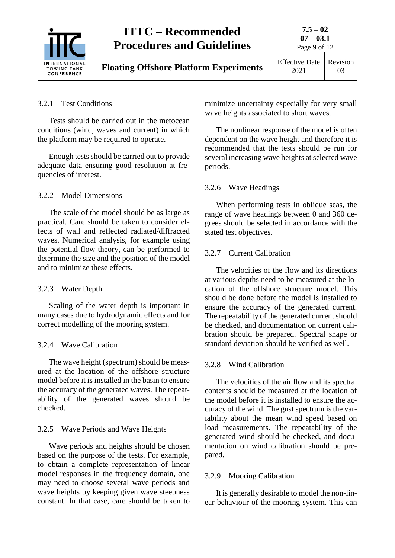

#### <span id="page-8-0"></span>3.2.1 Test Conditions

Tests should be carried out in the metocean conditions (wind, waves and current) in which the platform may be required to operate.

Enough tests should be carried out to provide adequate data ensuring good resolution at frequencies of interest.

#### <span id="page-8-1"></span>3.2.2 Model Dimensions

The scale of the model should be as large as practical. Care should be taken to consider effects of wall and reflected radiated/diffracted waves. Numerical analysis, for example using the potential-flow theory, can be performed to determine the size and the position of the model and to minimize these effects.

#### <span id="page-8-2"></span>3.2.3 Water Depth

Scaling of the water depth is important in many cases due to hydrodynamic effects and for correct modelling of the mooring system.

#### <span id="page-8-3"></span>3.2.4 Wave Calibration

The wave height (spectrum) should be measured at the location of the offshore structure model before it is installed in the basin to ensure the accuracy of the generated waves. The repeatability of the generated waves should be checked.

#### <span id="page-8-4"></span>3.2.5 Wave Periods and Wave Heights

Wave periods and heights should be chosen based on the purpose of the tests. For example, to obtain a complete representation of linear model responses in the frequency domain, one may need to choose several wave periods and wave heights by keeping given wave steepness constant. In that case, care should be taken to

minimize uncertainty especially for very small wave heights associated to short waves.

The nonlinear response of the model is often dependent on the wave height and therefore it is recommended that the tests should be run for several increasing wave heights at selected wave periods.

#### <span id="page-8-5"></span>3.2.6 Wave Headings

When performing tests in oblique seas, the range of wave headings between 0 and 360 degrees should be selected in accordance with the stated test objectives.

#### <span id="page-8-6"></span>3.2.7 Current Calibration

The velocities of the flow and its directions at various depths need to be measured at the location of the offshore structure model. This should be done before the model is installed to ensure the accuracy of the generated current. The repeatability of the generated current should be checked, and documentation on current calibration should be prepared. Spectral shape or standard deviation should be verified as well.

#### <span id="page-8-7"></span>3.2.8 Wind Calibration

The velocities of the air flow and its spectral contents should be measured at the location of the model before it is installed to ensure the accuracy of the wind. The gust spectrum is the variability about the mean wind speed based on load measurements. The repeatability of the generated wind should be checked, and documentation on wind calibration should be prepared.

#### <span id="page-8-8"></span>3.2.9 Mooring Calibration

It is generally desirable to model the non-linear behaviour of the mooring system. This can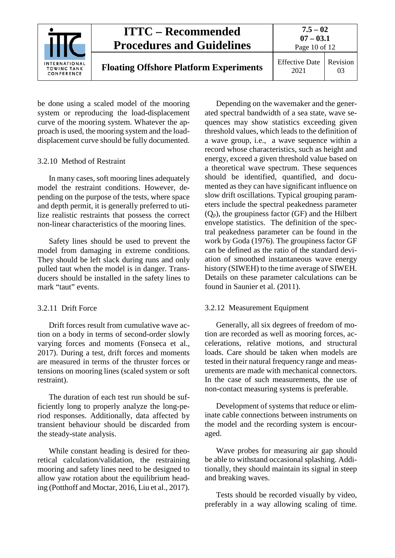

be done using a scaled model of the mooring system or reproducing the load-displacement curve of the mooring system. Whatever the approach is used, the mooring system and the loaddisplacement curve should be fully documented.

#### <span id="page-9-0"></span>3.2.10 Method of Restraint

In many cases, soft mooring lines adequately model the restraint conditions. However, depending on the purpose of the tests, where space and depth permit, it is generally preferred to utilize realistic restraints that possess the correct non-linear characteristics of the mooring lines.

Safety lines should be used to prevent the model from damaging in extreme conditions. They should be left slack during runs and only pulled taut when the model is in danger. Transducers should be installed in the safety lines to mark "taut" events.

#### <span id="page-9-1"></span>3.2.11 Drift Force

Drift forces result from cumulative wave action on a body in terms of second-order slowly varying forces and moments (Fonseca et al., 2017). During a test, drift forces and moments are measured in terms of the thruster forces or tensions on mooring lines (scaled system or soft restraint).

The duration of each test run should be sufficiently long to properly analyze the long-period responses. Additionally, data affected by transient behaviour should be discarded from the steady-state analysis.

While constant heading is desired for theoretical calculation/validation, the restraining mooring and safety lines need to be designed to allow yaw rotation about the equilibrium heading (Potthoff and Moctar, 2016, Liu et al., 2017).

Depending on the wavemaker and the generated spectral bandwidth of a sea state, wave sequences may show statistics exceeding given threshold values, which leads to the definition of a wave group, i.e., a wave sequence within a record whose characteristics, such as height and energy, exceed a given threshold value based on a theoretical wave spectrum. These sequences should be identified, quantified, and documented as they can have significant influence on slow drift oscillations. Typical grouping parameters include the spectral peakedness parameter  $(Q_p)$ , the groupiness factor (GF) and the Hilbert envelope statistics. The definition of the spectral peakedness parameter can be found in the work by Goda (1976). The groupiness factor GF can be defined as the ratio of the standard deviation of smoothed instantaneous wave energy history (SIWEH) to the time average of SIWEH. Details on these parameter calculations can be found in Saunier et al. (2011).

#### <span id="page-9-2"></span>3.2.12 Measurement Equipment

Generally, all six degrees of freedom of motion are recorded as well as mooring forces, accelerations, relative motions, and structural loads. Care should be taken when models are tested in their natural frequency range and measurements are made with mechanical connectors. In the case of such measurements, the use of non-contact measuring systems is preferable.

Development of systems that reduce or eliminate cable connections between instruments on the model and the recording system is encouraged.

Wave probes for measuring air gap should be able to withstand occasional splashing. Additionally, they should maintain its signal in steep and breaking waves.

Tests should be recorded visually by video, preferably in a way allowing scaling of time.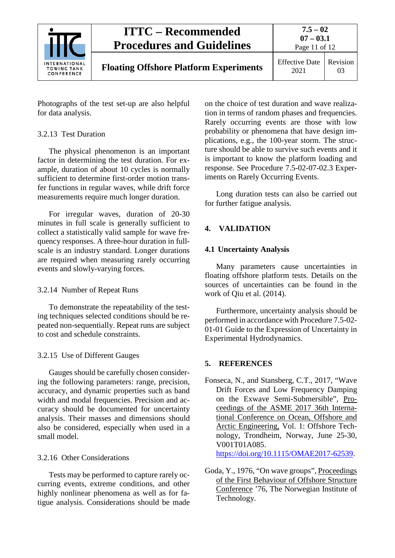

Photographs of the test set-up are also helpful for data analysis.

#### <span id="page-10-0"></span>3.2.13 Test Duration

The physical phenomenon is an important factor in determining the test duration. For example, duration of about 10 cycles is normally sufficient to determine first-order motion transfer functions in regular waves, while drift force measurements require much longer duration.

For irregular waves, duration of 20-30 minutes in full scale is generally sufficient to collect a statistically valid sample for wave frequency responses. A three-hour duration in fullscale is an industry standard. Longer durations are required when measuring rarely occurring events and slowly-varying forces.

#### <span id="page-10-1"></span>3.2.14 Number of Repeat Runs

To demonstrate the repeatability of the testing techniques selected conditions should be repeated non-sequentially. Repeat runs are subject to cost and schedule constraints.

## <span id="page-10-2"></span>3.2.15 Use of Different Gauges

Gauges should be carefully chosen considering the following parameters: range, precision, accuracy, and dynamic properties such as band width and modal frequencies. Precision and accuracy should be documented for uncertainty analysis. Their masses and dimensions should also be considered, especially when used in a small model.

## <span id="page-10-3"></span>3.2.16 Other Considerations

Tests may be performed to capture rarely occurring events, extreme conditions, and other highly nonlinear phenomena as well as for fatigue analysis. Considerations should be made on the choice of test duration and wave realization in terms of random phases and frequencies. Rarely occurring events are those with low probability or phenomena that have design implications, e.g., the 100-year storm. The structure should be able to survive such events and it is important to know the platform loading and response. See Procedure 7.5-02-07-02.3 Experiments on Rarely Occurring Events.

Long duration tests can also be carried out for further fatigue analysis.

## <span id="page-10-5"></span><span id="page-10-4"></span>**4. VALIDATION**

## **4.1 Uncertainty Analysis**

Many parameters cause uncertainties in floating offshore platform tests. Details on the sources of uncertainties can be found in the work of Qiu et al. (2014).

Furthermore, uncertainty analysis should be performed in accordance with Procedure 7.5-02- 01-01 Guide to the Expression of Uncertainty in Experimental Hydrodynamics.

## <span id="page-10-6"></span>**5. REFERENCES**

Fonseca, N., and Stansberg, C.T., 2017, "Wave Drift Forces and Low Frequency Damping on the Exwave Semi-Submersible", Proceedings of the ASME 2017 36th International Conference on Ocean, Offshore and Arctic Engineering, Vol. 1: Offshore Technology, Trondheim, Norway, June 25-30, V001T01A085. [https://doi.org/10.1115/OMAE2017-62539.](https://doi.org/10.1115/OMAE2017-62539)

Goda, Y., 1976, "On wave groups", Proceedings of the First Behaviour of Offshore Structure Conference '76, The Norwegian Institute of Technology.